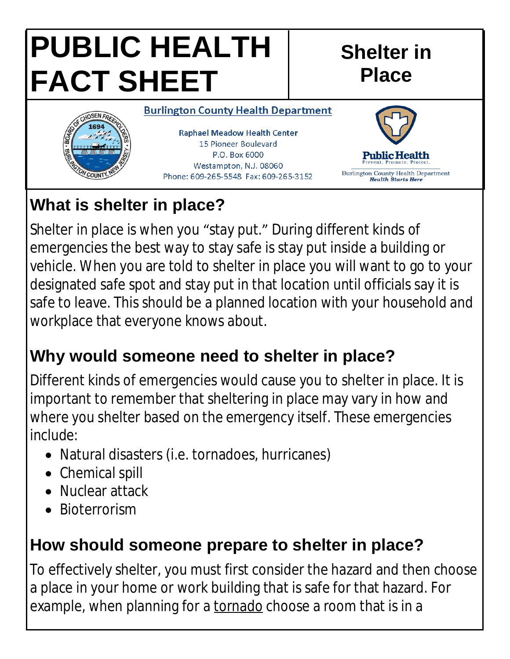# **PUBLIC HEALTH FACT SHEET**

#### **Shelter in Place**



## **What is shelter in place?**

Shelter in place is when you "stay put." During different kinds of emergencies the best way to stay safe is stay put inside a building or vehicle. When you are told to shelter in place you will want to go to your designated safe spot and stay put in that location until officials say it is safe to leave. This should be a planned location with your household and workplace that everyone knows about.

## **Why would someone need to shelter in place?**

Different kinds of emergencies would cause you to shelter in place. It is important to remember that sheltering in place may vary in how and where you shelter based on the emergency itself. These emergencies include:

- Natural disasters (i.e. tornadoes, hurricanes)
- Chemical spill
- Nuclear attack
- Bioterrorism

## **How should someone prepare to shelter in place?**

To effectively shelter, you must first consider the hazard and then choose a place in your home or work building that is safe for that hazard. For example, when planning for a tornado choose a room that is in a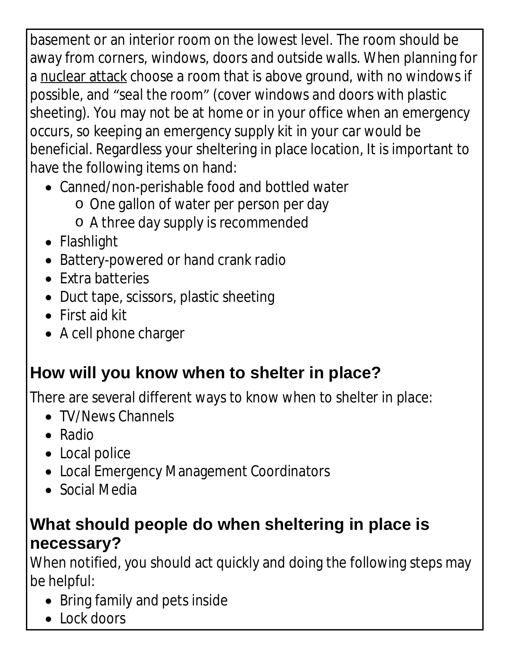basement or an interior room on the lowest level. The room should be away from corners, windows, doors and outside walls. When planning for a nuclear attack choose a room that is above ground, with no windows if possible, and "seal the room" (cover windows and doors with plastic sheeting). You may not be at home or in your office when an emergency occurs, so keeping an emergency supply kit in your car would be beneficial. Regardless your sheltering in place location, It is important to have the following items on hand:

- Canned/non-perishable food and bottled water
	- o One gallon of water per person per day
	- o A three day supply is recommended
- Flashlight
- Battery-powered or hand crank radio
- Extra batteries
- Duct tape, scissors, plastic sheeting
- First aid kit
- A cell phone charger

## **How will you know when to shelter in place?**

There are several different ways to know when to shelter in place:

- TV/News Channels
- Radio
- Local police
- Local Emergency Management Coordinators
- Social Media

#### **What should people do when sheltering in place is necessary?**

When notified, you should act quickly and doing the following steps may be helpful:

- Bring family and pets inside
- Lock doors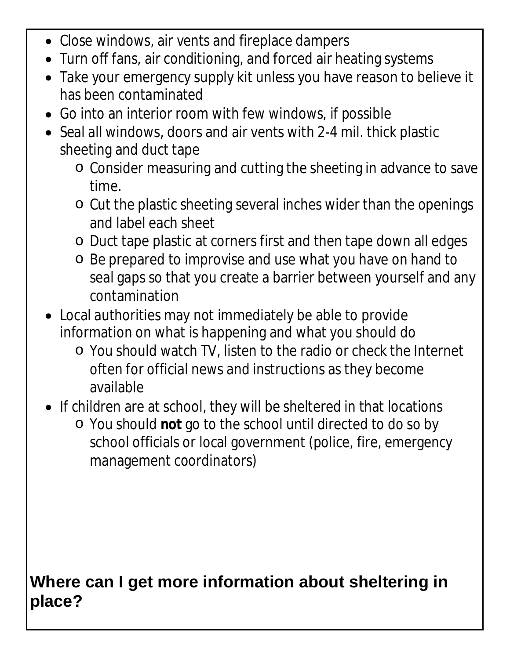- Close windows, air vents and fireplace dampers
- Turn off fans, air conditioning, and forced air heating systems
- Take your emergency supply kit unless you have reason to believe it has been contaminated
- Go into an interior room with few windows, if possible
- Seal all windows, doors and air vents with 2-4 mil. thick plastic sheeting and duct tape
	- o Consider measuring and cutting the sheeting in advance to save time.
	- o Cut the plastic sheeting several inches wider than the openings and label each sheet
	- o Duct tape plastic at corners first and then tape down all edges
	- o Be prepared to improvise and use what you have on hand to seal gaps so that you create a barrier between yourself and any contamination
- Local authorities may not immediately be able to provide information on what is happening and what you should do
	- o You should watch TV, listen to the radio or check the Internet often for official news and instructions as they become available
- If children are at school, they will be sheltered in that locations
	- o You should **not** go to the school until directed to do so by school officials or local government (police, fire, emergency management coordinators)

#### **Where can I get more information about sheltering in place?**